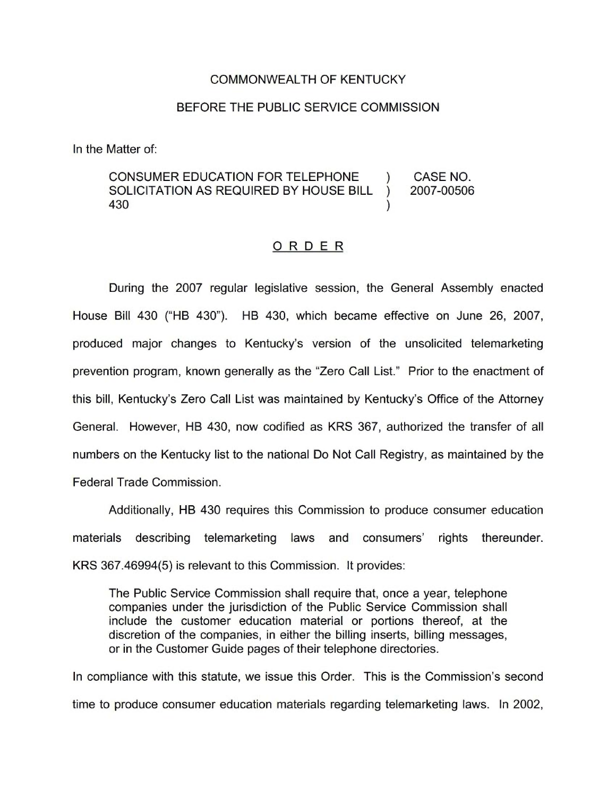#### COMMONWEALTH OF KENTUCKY

#### BEFORE THE PUBLIC SERVICE COMMISSION

In the Matter of:

#### CONSUMER EDUCATION FOR TELEPHONE ) CASE NO.<br>SOLICITATION AS REQUIRED BY HOUSE BILL ) 2007-00506 SOLICITATION AS REQUIRED BY HOUSE BILL )<br>430 430 )

#### ORDER

During the 2007 regular legislative session, the General Assembly enacted House Bill 430 ("HB 430"). HB 430, which became effective on June 26, 2007, produced major changes to Kentucky's version of the unsolicited telemarketing prevention program, known generally as the "Zero Call List." Prior to the enactment of this bill, Kentucky's Zero Call List was maintained by Kentucky's Office of the Attorney General. However, HB 430, now codified as KRS 367, authorized the transfer of all numbers on the Kentucky list to the national Do Not Call Registry, as maintained by the Federal Trade Commission.

Additionally, HB 430 requires this Commission to produce consumer education materials describing telemarketing laws and consumers' rights thereunder. KRS 367.46994(5) is relevant to this Commission. It provides:

The Public Service Commission shall require that, once a year, telephone companies under the jurisdiction of the Public Service Commission shall include the customer education material or portions thereof, at the discretion of the companies, in either the billing inserts, billing messages, or in the Customer Guide pages of their telephone directories.

In compliance with this statute, we issue this Order. This is the Commission's second time to produce consumer education materials regarding telemarketing laws. In 2002,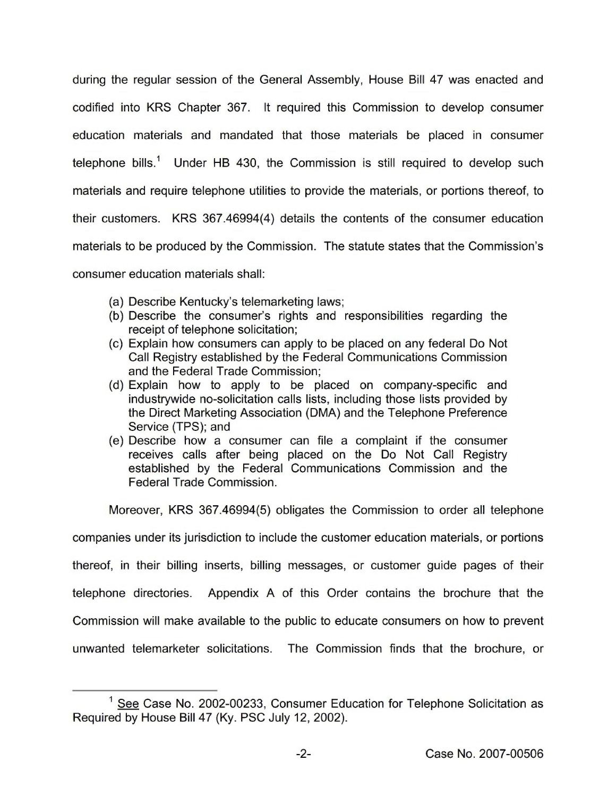during the regular session of the General Assembly, House Bill 47 was enacted and codified into KRS Chapter 367. It required this Commission to develop consumer education materials and mandated that those materials be placed in consumer telephone bills.<sup>1</sup> Under HB 430, the Commission is still required to develop such materials and require telephone utilities to provide the materials, or portions thereof, to their customers. KRS 367.46994(4) details the contents of the consumer education materials to be produced by the Commission. The statute states that the Commission's consumer education materials shall:

- (a) Describe Kentucky's telemarketing laws;
- (b) Describe the consumer's rights and responsibilities regarding the receipt of telephone solicitation;
- (c) Explain how consumers can apply to be placed on any federal Do Not Call Registry established by the Federal Communications Commission and the Federal Trade Commission;
- (d) Explain how to apply to be placed on company-specific and industrywide no-solicitation calls lists, including those lists provided by the Direct Marketing Association (DMA) and the Telephone Preference Service (TPS); and
- (e) Describe how a consumer can file a complaint if the consumer receives calls after being placed on the Do Not Call Registry established by the Federal Communications Commission and the Federal Trade Commission.

Moreover, KRS 367.46994(5) obligates the Commission to order all telephone

companies under its jurisdiction to include the customer education materials, or portions

thereof, in their billing inserts, billing messages, or customer guide pages of their

telephone directories. Appendix A of this Order contains the brochure that the

Commission will make available to the public to educate consumers on how to prevent

unwanted telemarketer solicitations. The Commission finds that the brochure, or

 $1$  See Case No. 2002-00233, Consumer Education for Telephone Solicitation as Required by House Bill 47 (Ky. PSC July 12, 2002).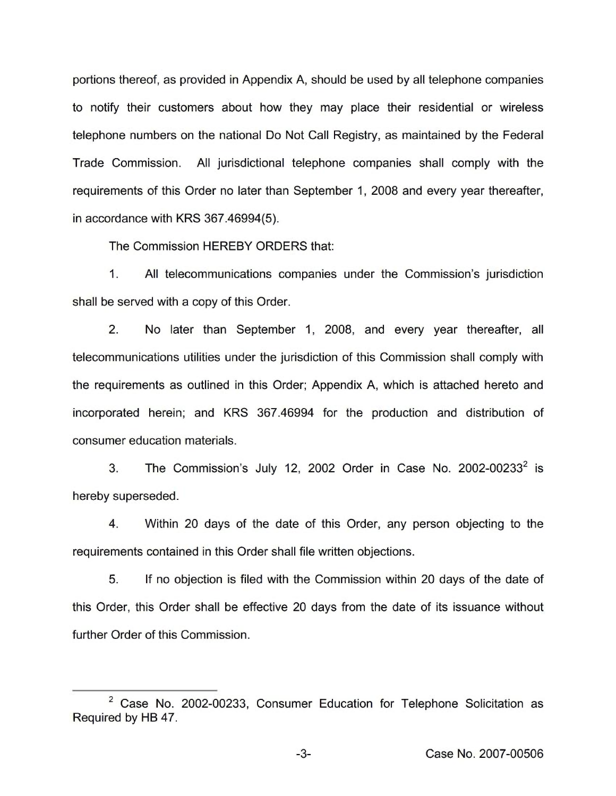portions thereof, as provided in Appendix A, should be used by all telephone companies to notify their customers about how they may place their residential or wireless telephone numbers on the national Do Not Call Registry, as maintained by the Federal Trade Commission. All jurisdictional telephone companies shall comply with the requirements of this Order no later than September 1, 2008 and every year thereafter, in accordance with KRS 367.46994(5).

The Commission HEREBY ORDERS that:

1. All telecommunications companies under the Commission's jurisdiction shall be served with a copy of this Order.

2. No later than September 1, 2008, and every year thereafter, all telecommunications utilities under the jurisdiction of this Commission shall comply with the requirements as outlined in this Order; Appendix A, which is attached hereto and incorporated herein; and KRS 367.46994 for the production and distribution of consumer education materials.

3. The Commission's July 12, 2002 Order in Case No. 2002-00233<sup>2</sup> is hereby superseded.

4. Within 20 days of the date of this Order, any person objecting to the requirements contained in this Order shall file written objections.

5. If no objection is filed with the Commission within 20 days of the date of this Order, this Order shall be effective 20 days from the date of its issuance without further Order of this Commission.

 $2$  Case No. 2002-00233, Consumer Education for Telephone Solicitation as Required by HB 47.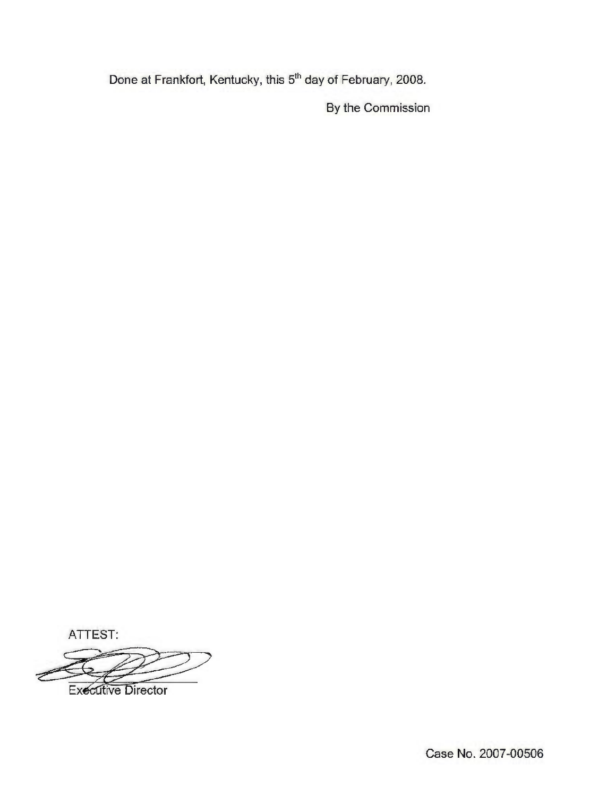Done at Frankfort, Kentucky, this 5<sup>th</sup> day of February, 2008.

By the Commission

ATTEST:

Executive Director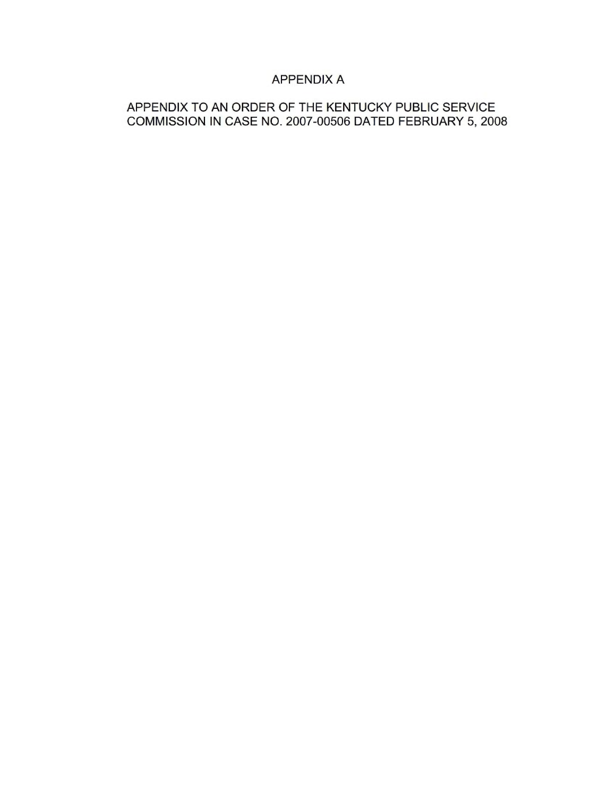# APPENDIX A

# APPENDIX TO AN ORDER OF THE KENTUCKY PUBLIC SERVICE COMMISSION IN CASE NO. 2007-00506 DATED FEBRUARY 5, 2008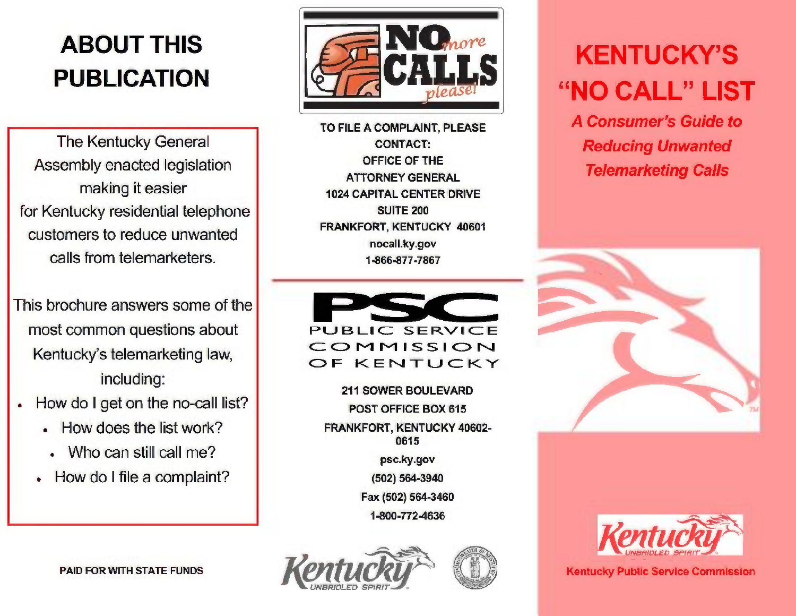# ABOUT THIS PUBLICATION

The Kentucky General Assembly enacted legislation making it easier for Kentucky residential telephone customers to reduce unwanted calls from telemarketers.

This brochure answers some of the most common questions about Kentucky's telemarketing law, including:

- How do <sup>I</sup> get on the no-call list?
	- <sup>~</sup> How does the list work?
	- Who can still call me?
	- How do <sup>I</sup> file a complaint?



TO FILE A COMPLAINT, PLEASE CONTACT: OFFICE OF THE ATTORNEY GENERAL 1024 CAPITAL CENTER DRIVE SUITE 200 FRANKFORT, KENTUCKY 40601 nocall.ky.gov 1-866-877-7867



211 SOWER BOULEVARD POST OFFICE BOX 615 FRANKFORT, KENTUCKY 40602- 0615 psc.ky.gov (502) 5643940 Fax (502) 564-3460 1-800-772-4636





# **KENTUCKY'S** "NO CALL" LIST

**A Consumer's Guide to Reducing Unwanted Telemarketing Calls** 





**Kentucky Public Service Commission** 

PAID FOR WITH STATE FUNDS